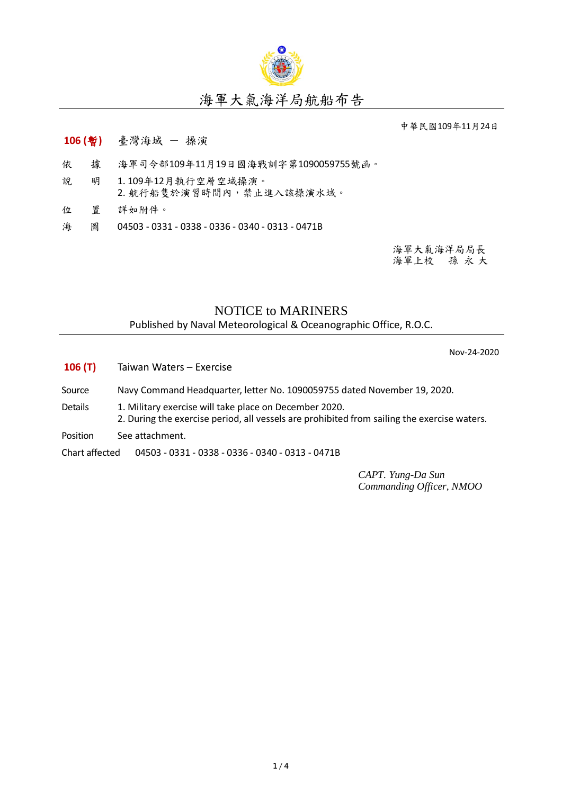

## 海軍大氣海洋局航船布告

中華民國109年11月24日

- **106 (**暫**)** 臺灣海域 操演
- 依 據 海軍司令部109年11月19日國海戰訓字第1090059755號函。
- 說 明 1. 109年12月執行空層空域操演。 2. 航行船隻於演習時間內,禁止進入該操演水域。
- 位 置 詳如附件。
- 海 圖 04503 0331 0338 0336 0340 0313 0471B

海軍大氣海洋局局長 海軍上校 孫 永 大

## NOTICE to MARINERS

Published by Naval Meteorological & Oceanographic Office, R.O.C.

Nov-24-2020

- **106 (T)** Taiwan Waters Exercise
- Source Navy Command Headquarter, letter No. 1090059755 dated November 19, 2020.
- Details 1. Military exercise will take place on December 2020.
	- 2. During the exercise period, all vessels are prohibited from sailing the exercise waters.
- Position See attachment.

Chart affected 04503 - 0331 - 0338 - 0336 - 0340 - 0313 - 0471B

*CAPT. Yung-Da Sun Commanding Officer, NMOO*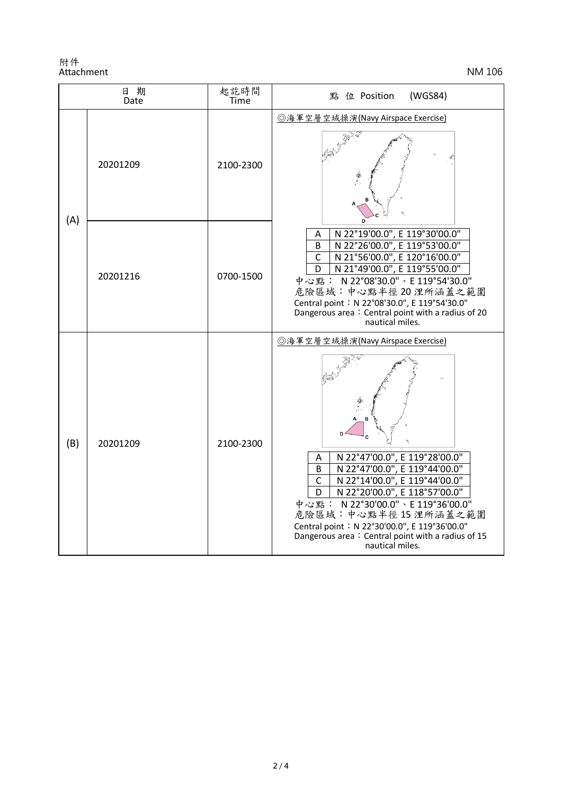附件 Attachment NM 106

| 日期<br>Date |          | 起訖時間<br>Time | (WGS84)<br>點 位 Position                                                                                                                                                                                                                                                                                                                                                                  |
|------------|----------|--------------|------------------------------------------------------------------------------------------------------------------------------------------------------------------------------------------------------------------------------------------------------------------------------------------------------------------------------------------------------------------------------------------|
| (A)        | 20201209 | 2100-2300    | ◎海軍空層空域操演(Navy Airspace Exercise)                                                                                                                                                                                                                                                                                                                                                        |
|            | 20201216 | 0700-1500    | N 22°19'00.0", E 119°30'00.0"<br>А<br>N 22°26'00.0", E 119°53'00.0"<br>B<br>N 21°56'00.0", E 120°16'00.0"<br>C<br>N 21°49'00.0", E 119°55'00.0"<br>D<br>中心點: N 22°08'30.0"、E 119°54'30.0"<br>危險區域:中心點半徑20浬所涵蓋之範圍<br>Central point: N 22°08'30.0", E 119°54'30.0"<br>Dangerous area: Central point with a radius of 20<br>nautical miles.                                                 |
| (B)        | 20201209 | 2100-2300    | ◎海軍空層空域操演(Navy Airspace Exercise)<br>N 22°47'00.0", E 119°28'00.0"<br>Α<br>N 22°47'00.0", E 119°44'00.0"<br>B<br>N 22°14'00.0", E 119°44'00.0"<br>$\mathsf{C}$<br>N 22°20'00.0", E 118°57'00.0"<br>D<br>中心點: N 22°30'00.0"、E 119°36'00.0"<br>危險區域:中心點半徑15浬所涵蓋之範圍<br>Central point: N 22°30'00.0", E 119°36'00.0"<br>Dangerous area: Central point with a radius of 15<br>nautical miles. |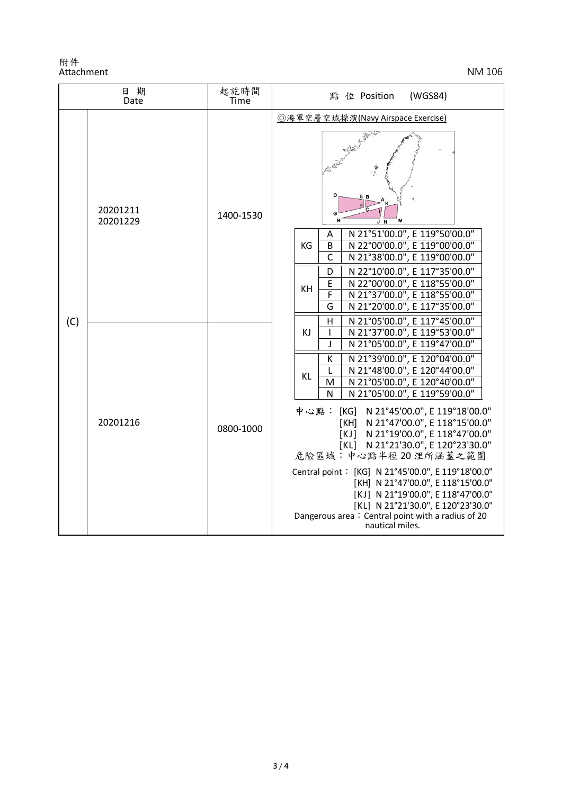附件 Attachment NM 106

| 日 期<br>Date |                      | 起訖時間<br>Time | 點 位 Position<br>(WGS84)                                                                                                                                                                                                                                                                                                                                                                                                                                                                                                                                                                                                                                                                                                            |
|-------------|----------------------|--------------|------------------------------------------------------------------------------------------------------------------------------------------------------------------------------------------------------------------------------------------------------------------------------------------------------------------------------------------------------------------------------------------------------------------------------------------------------------------------------------------------------------------------------------------------------------------------------------------------------------------------------------------------------------------------------------------------------------------------------------|
| (C)         | 20201211<br>20201229 | 1400-1530    | ◎海軍空層空域操演(Navy Airspace Exercise)<br>D<br>E B<br>G<br>J N                                                                                                                                                                                                                                                                                                                                                                                                                                                                                                                                                                                                                                                                          |
|             |                      |              | N 21°51'00.0", E 119°50'00.0"<br>Α<br>N 22°00'00.0", E 119°00'00.0"<br>KG<br>B<br>$\mathsf{C}$<br>N 21°38'00.0", E 119°00'00.0"<br>N 22°10'00.0", E 117°35'00.0"<br>D<br>N 22°00'00.0", E 118°55'00.0"<br>E<br>KH<br>N 21°37'00.0", E 118°55'00.0"<br>F<br>G<br>N 21°20'00.0", E 117°35'00.0"                                                                                                                                                                                                                                                                                                                                                                                                                                      |
|             | 20201216             | 0800-1000    | N 21°05'00.0", E 117°45'00.0"<br>$\overline{H}$<br>N 21°37'00.0", E 119°53'00.0"<br>KJ<br>ı<br>N 21°05'00.0", E 119°47'00.0"<br>J<br>N 21°39'00.0", E 120°04'00.0"<br>к<br>N 21°48'00.0", E 120°44'00.0"<br>L<br>KL<br>N 21°05'00.0", E 120°40'00.0"<br>M<br>N 21°05'00.0", E 119°59'00.0"<br>N<br>中心點: [KG] N 21°45'00.0", E 119°18'00.0"<br>[KH] N 21°47'00.0", E 118°15'00.0"<br>[KJ] N 21°19'00.0", E 118°47'00.0"<br>[KL] N 21°21'30.0", E 120°23'30.0"<br>危險區域:中心點半徑20浬所涵蓋之範圍<br>Central point: [KG] N 21°45'00.0", E 119°18'00.0"<br>[KH] N 21°47'00.0", E 118°15'00.0"<br>[KJ] N 21°19'00.0", E 118°47'00.0"<br>[KL] N 21°21'30.0", E 120°23'30.0"<br>Dangerous area: Central point with a radius of 20<br>nautical miles. |